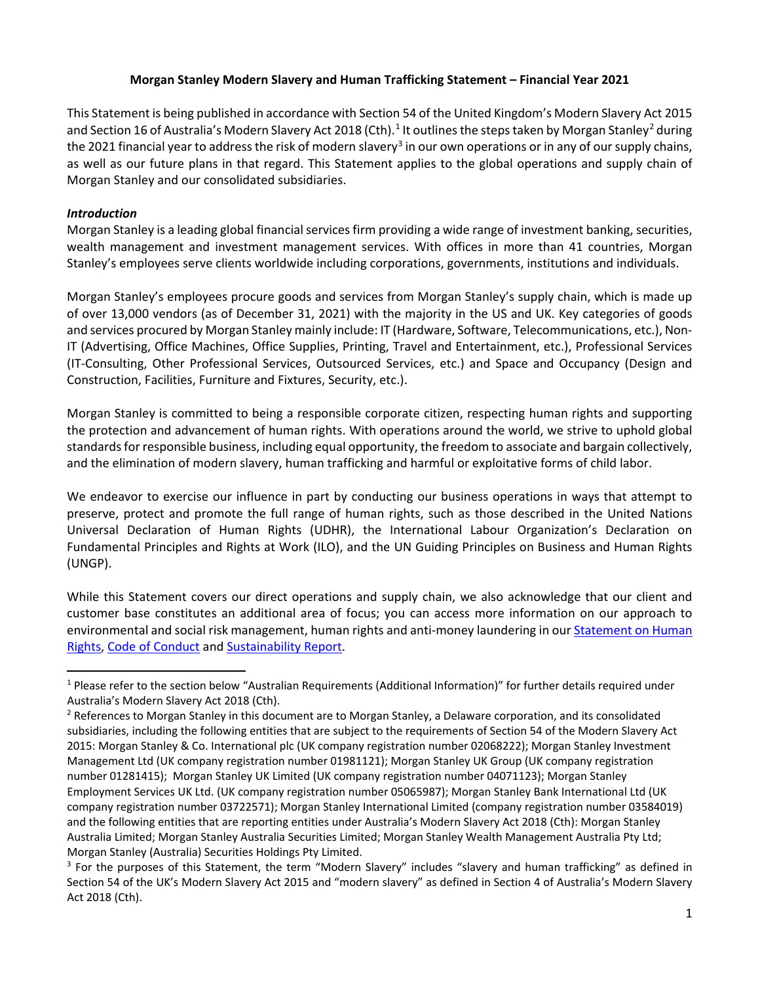# **Morgan Stanley Modern Slavery and Human Trafficking Statement – Financial Year 2021**

This Statement is being published in accordance with Section 54 of the United Kingdom's Modern Slavery Act 2015 and Section [1](#page-0-0)6 of Australia's Modern Slavery Act [2](#page-0-1)018 (Cth).<sup>1</sup> It outlines the steps taken by Morgan Stanley<sup>2</sup> during the 2021 financial year to address the risk of modern slavery<sup>[3](#page-0-2)</sup> in our own operations or in any of our supply chains, as well as our future plans in that regard. This Statement applies to the global operations and supply chain of Morgan Stanley and our consolidated subsidiaries.

# *Introduction*

Morgan Stanley is a leading global financial services firm providing a wide range of investment banking, securities, wealth management and investment management services. With offices in more than 41 countries, Morgan Stanley's employees serve clients worldwide including corporations, governments, institutions and individuals.

Morgan Stanley's employees procure goods and services from Morgan Stanley's supply chain, which is made up of over 13,000 vendors (as of December 31, 2021) with the majority in the US and UK. Key categories of goods and services procured by Morgan Stanley mainly include: IT (Hardware, Software, Telecommunications, etc.), Non-IT (Advertising, Office Machines, Office Supplies, Printing, Travel and Entertainment, etc.), Professional Services (IT-Consulting, Other Professional Services, Outsourced Services, etc.) and Space and Occupancy (Design and Construction, Facilities, Furniture and Fixtures, Security, etc.).

Morgan Stanley is committed to being a responsible corporate citizen, respecting human rights and supporting the protection and advancement of human rights. With operations around the world, we strive to uphold global standards for responsible business, including equal opportunity, the freedom to associate and bargain collectively, and the elimination of modern slavery, human trafficking and harmful or exploitative forms of child labor.

We endeavor to exercise our influence in part by conducting our business operations in ways that attempt to preserve, protect and promote the full range of human rights, such as those described in the United Nations Universal Declaration of Human Rights (UDHR), the International Labour Organization's Declaration on Fundamental Principles and Rights at Work (ILO), and the UN Guiding Principles on Business and Human Rights (UNGP).

While this Statement covers our direct operations and supply chain, we also acknowledge that our client and customer base constitutes an additional area of focus; you can access more information on our approach to environmental and social risk management, human rights and anti-money laundering in ou[r Statement on Human](https://www.morganstanley.com/about-us-governance/pdf/human_rights_statement.pdf)  [Rights,](https://www.morganstanley.com/about-us-governance/pdf/human_rights_statement.pdf) [Code of Conduct](https://www.morganstanley.com/about-us-governance/code-of-conduct.html) and [Sustainability Report.](https://www.morganstanley.com/about-us/sustainability-reports-research)

<span id="page-0-0"></span><sup>&</sup>lt;sup>1</sup> Please refer to the section below "Australian Requirements (Additional Information)" for further details required under Australia's Modern Slavery Act 2018 (Cth).<br><sup>2</sup> References to Morgan Stanley in this document are to Morgan Stanley, a Delaware corporation, and its consolidated

<span id="page-0-1"></span>subsidiaries, including the following entities that are subject to the requirements of Section 54 of the Modern Slavery Act 2015: Morgan Stanley & Co. International plc (UK company registration number 02068222); Morgan Stanley Investment Management Ltd (UK company registration number 01981121); Morgan Stanley UK Group (UK company registration number 01281415); Morgan Stanley UK Limited (UK company registration number 04071123); Morgan Stanley Employment Services UK Ltd. (UK company registration number 05065987); Morgan Stanley Bank International Ltd (UK company registration number 03722571); Morgan Stanley International Limited (company registration number 03584019) and the following entities that are reporting entities under Australia's Modern Slavery Act 2018 (Cth): Morgan Stanley Australia Limited; Morgan Stanley Australia Securities Limited; Morgan Stanley Wealth Management Australia Pty Ltd; Morgan Stanley (Australia) Securities Holdings Pty Limited.

<span id="page-0-2"></span><sup>&</sup>lt;sup>3</sup> For the purposes of this Statement, the term "Modern Slavery" includes "slavery and human trafficking" as defined in Section 54 of the UK's Modern Slavery Act 2015 and "modern slavery" as defined in Section 4 of Australia's Modern Slavery Act 2018 (Cth).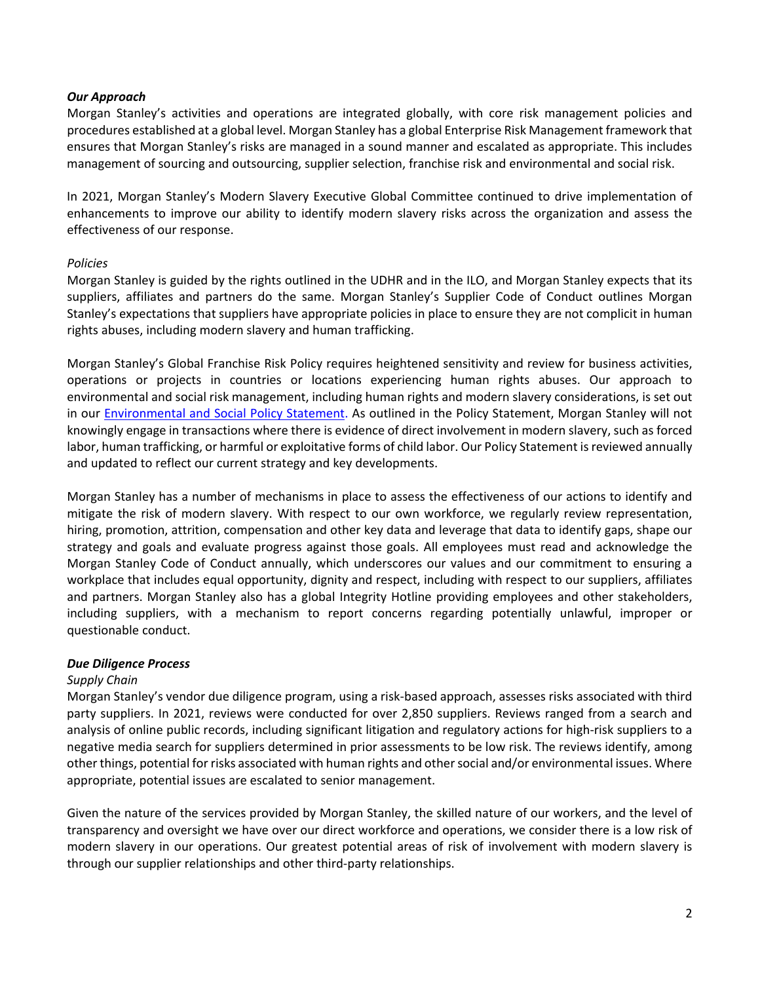# *Our Approach*

Morgan Stanley's activities and operations are integrated globally, with core risk management policies and procedures established at a global level. Morgan Stanley has a global Enterprise Risk Management framework that ensures that Morgan Stanley's risks are managed in a sound manner and escalated as appropriate. This includes management of sourcing and outsourcing, supplier selection, franchise risk and environmental and social risk.

In 2021, Morgan Stanley's Modern Slavery Executive Global Committee continued to drive implementation of enhancements to improve our ability to identify modern slavery risks across the organization and assess the effectiveness of our response.

### *Policies*

Morgan Stanley is guided by the rights outlined in the UDHR and in the ILO, and Morgan Stanley expects that its suppliers, affiliates and partners do the same. Morgan Stanley's Supplier Code of Conduct outlines Morgan Stanley's expectations that suppliers have appropriate policies in place to ensure they are not complicit in human rights abuses, including modern slavery and human trafficking.

Morgan Stanley's Global Franchise Risk Policy requires heightened sensitivity and review for business activities, operations or projects in countries or locations experiencing human rights abuses. Our approach to environmental and social risk management, including human rights and modern slavery considerations, is set out in our **Environmental and Social Policy Statement**. As outlined in the Policy Statement, Morgan Stanley will not knowingly engage in transactions where there is evidence of direct involvement in modern slavery, such as forced labor, human trafficking, or harmful or exploitative forms of child labor. Our Policy Statement is reviewed annually and updated to reflect our current strategy and key developments.

Morgan Stanley has a number of mechanisms in place to assess the effectiveness of our actions to identify and mitigate the risk of modern slavery. With respect to our own workforce, we regularly review representation, hiring, promotion, attrition, compensation and other key data and leverage that data to identify gaps, shape our strategy and goals and evaluate progress against those goals. All employees must read and acknowledge the Morgan Stanley Code of Conduct annually, which underscores our values and our commitment to ensuring a workplace that includes equal opportunity, dignity and respect, including with respect to our suppliers, affiliates and partners. Morgan Stanley also has a global Integrity Hotline providing employees and other stakeholders, including suppliers, with a mechanism to report concerns regarding potentially unlawful, improper or questionable conduct.

#### *Due Diligence Process*

# *Supply Chain*

Morgan Stanley's vendor due diligence program, using a risk-based approach, assesses risks associated with third party suppliers. In 2021, reviews were conducted for over 2,850 suppliers. Reviews ranged from a search and analysis of online public records, including significant litigation and regulatory actions for high-risk suppliers to a negative media search for suppliers determined in prior assessments to be low risk. The reviews identify, among other things, potential for risks associated with human rights and other social and/or environmental issues. Where appropriate, potential issues are escalated to senior management.

Given the nature of the services provided by Morgan Stanley, the skilled nature of our workers, and the level of transparency and oversight we have over our direct workforce and operations, we consider there is a low risk of modern slavery in our operations. Our greatest potential areas of risk of involvement with modern slavery is through our supplier relationships and other third-party relationships.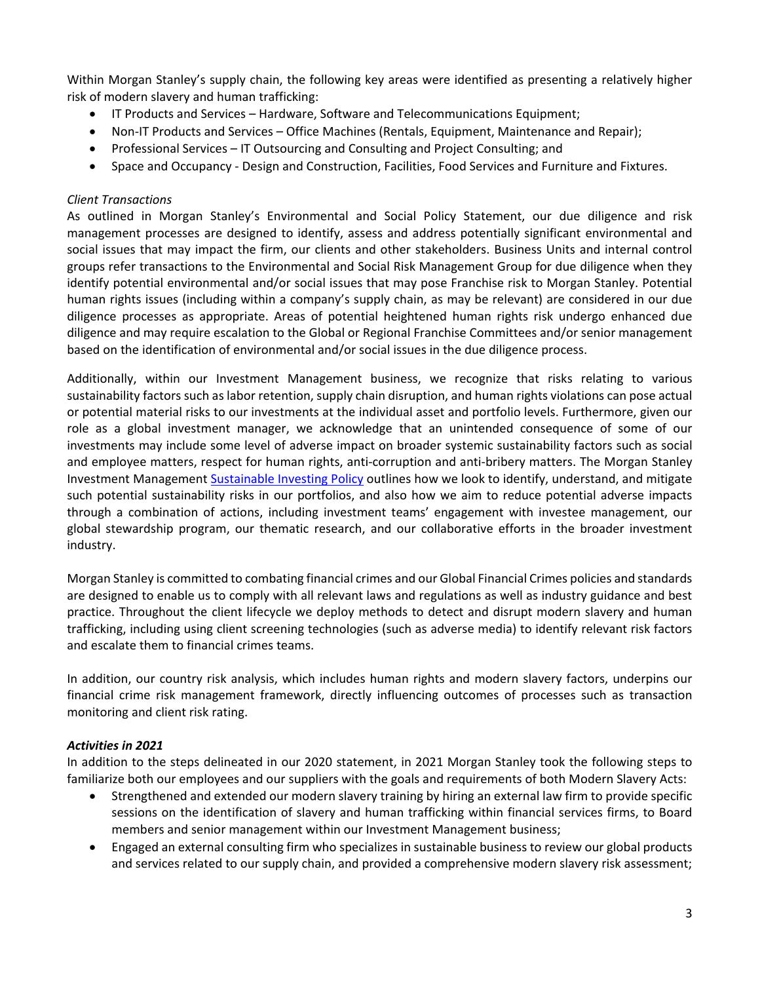Within Morgan Stanley's supply chain, the following key areas were identified as presenting a relatively higher risk of modern slavery and human trafficking:

- IT Products and Services Hardware, Software and Telecommunications Equipment;
- Non-IT Products and Services Office Machines (Rentals, Equipment, Maintenance and Repair);
- Professional Services IT Outsourcing and Consulting and Project Consulting; and
- Space and Occupancy Design and Construction, Facilities, Food Services and Furniture and Fixtures.

# *Client Transactions*

As outlined in Morgan Stanley's Environmental and Social Policy Statement, our due diligence and risk management processes are designed to identify, assess and address potentially significant environmental and social issues that may impact the firm, our clients and other stakeholders. Business Units and internal control groups refer transactions to the Environmental and Social Risk Management Group for due diligence when they identify potential environmental and/or social issues that may pose Franchise risk to Morgan Stanley. Potential human rights issues (including within a company's supply chain, as may be relevant) are considered in our due diligence processes as appropriate. Areas of potential heightened human rights risk undergo enhanced due diligence and may require escalation to the Global or Regional Franchise Committees and/or senior management based on the identification of environmental and/or social issues in the due diligence process.

Additionally, within our Investment Management business, we recognize that risks relating to various sustainability factors such as labor retention, supply chain disruption, and human rights violations can pose actual or potential material risks to our investments at the individual asset and portfolio levels. Furthermore, given our role as a global investment manager, we acknowledge that an unintended consequence of some of our investments may include some level of adverse impact on broader systemic sustainability factors such as social and employee matters, respect for human rights, anti-corruption and anti-bribery matters. The Morgan Stanley Investment Management [Sustainable Investing Policy](https://www.morganstanley.com/im/publication/resources/sustainable_investing_policy_us.pdf?1616998585979) outlines how we look to identify, understand, and mitigate such potential sustainability risks in our portfolios, and also how we aim to reduce potential adverse impacts through a combination of actions, including investment teams' engagement with investee management, our global stewardship program, our thematic research, and our collaborative efforts in the broader investment industry.

Morgan Stanley is committed to combating financial crimes and our Global Financial Crimes policies and standards are designed to enable us to comply with all relevant laws and regulations as well as industry guidance and best practice. Throughout the client lifecycle we deploy methods to detect and disrupt modern slavery and human trafficking, including using client screening technologies (such as adverse media) to identify relevant risk factors and escalate them to financial crimes teams.

In addition, our country risk analysis, which includes human rights and modern slavery factors, underpins our financial crime risk management framework, directly influencing outcomes of processes such as transaction monitoring and client risk rating.

# *Activities in 2021*

In addition to the steps delineated in our 2020 statement, in 2021 Morgan Stanley took the following steps to familiarize both our employees and our suppliers with the goals and requirements of both Modern Slavery Acts:

- Strengthened and extended our modern slavery training by hiring an external law firm to provide specific sessions on the identification of slavery and human trafficking within financial services firms, to Board members and senior management within our Investment Management business;
- Engaged an external consulting firm who specializes in sustainable business to review our global products and services related to our supply chain, and provided a comprehensive modern slavery risk assessment;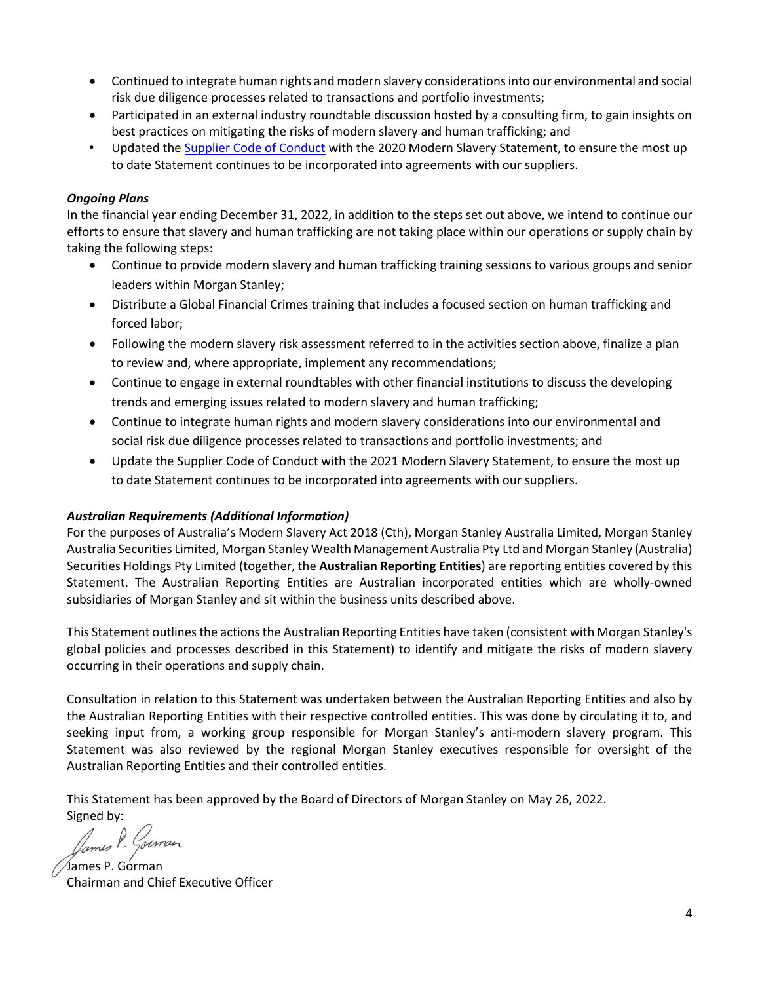- Continued to integrate human rights and modern slavery considerations into our environmental and social risk due diligence processes related to transactions and portfolio investments;
- Participated in an external industry roundtable discussion hosted by a consulting firm, to gain insights on best practices on mitigating the risks of modern slavery and human trafficking; and
- Updated th[e Supplier Code of Conduct](https://www.morganstanley.com/about-us-governance/pdf/supplier-code-of-conduct.pdf) with the 2020 Modern Slavery Statement, to ensure the most up to date Statement continues to be incorporated into agreements with our suppliers.

# *Ongoing Plans*

In the financial year ending December 31, 2022, in addition to the steps set out above, we intend to continue our efforts to ensure that slavery and human trafficking are not taking place within our operations or supply chain by taking the following steps:

- Continue to provide modern slavery and human trafficking training sessions to various groups and senior leaders within Morgan Stanley;
- Distribute a Global Financial Crimes training that includes a focused section on human trafficking and forced labor;
- Following the modern slavery risk assessment referred to in the activities section above, finalize a plan to review and, where appropriate, implement any recommendations;
- Continue to engage in external roundtables with other financial institutions to discuss the developing trends and emerging issues related to modern slavery and human trafficking;
- Continue to integrate human rights and modern slavery considerations into our environmental and social risk due diligence processes related to transactions and portfolio investments; and
- Update the Supplier Code of Conduct with the 2021 Modern Slavery Statement, to ensure the most up to date Statement continues to be incorporated into agreements with our suppliers.

# *Australian Requirements (Additional Information)*

For the purposes of Australia's Modern Slavery Act 2018 (Cth), Morgan Stanley Australia Limited, Morgan Stanley Australia Securities Limited, Morgan Stanley Wealth Management Australia Pty Ltd and Morgan Stanley (Australia) Securities Holdings Pty Limited (together, the **Australian Reporting Entities**) are reporting entities covered by this Statement. The Australian Reporting Entities are Australian incorporated entities which are wholly-owned subsidiaries of Morgan Stanley and sit within the business units described above.

This Statement outlines the actions the Australian Reporting Entities have taken (consistent with Morgan Stanley's global policies and processes described in this Statement) to identify and mitigate the risks of modern slavery occurring in their operations and supply chain.

Consultation in relation to this Statement was undertaken between the Australian Reporting Entities and also by the Australian Reporting Entities with their respective controlled entities. This was done by circulating it to, and seeking input from, a working group responsible for Morgan Stanley's anti-modern slavery program. This Statement was also reviewed by the regional Morgan Stanley executives responsible for oversight of the Australian Reporting Entities and their controlled entities.

This Statement has been approved by the Board of Directors of Morgan Stanley on May 26, 2022.

Signed by:<br>*James P. Gouman* 

James P. Gorman Chairman and Chief Executive Officer